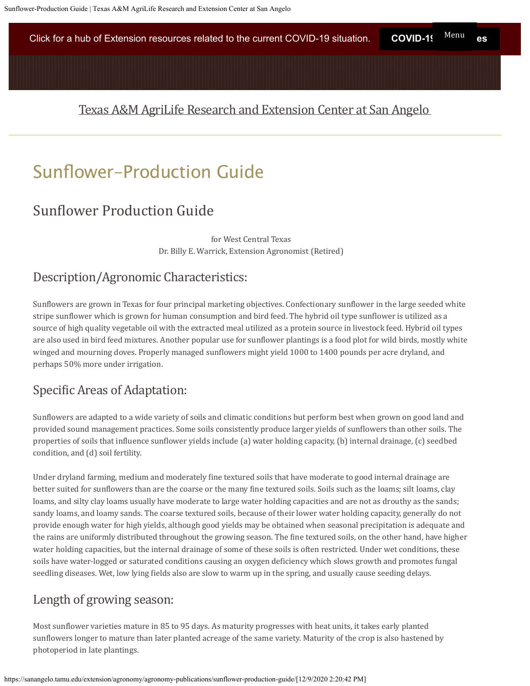Click for a hub of Extension resources related to the current COVID-19 situation. **COVID-1**9 Menu es

# [Texas A&M AgriLife Research and Extension Center at San Angelo](https://sanangelo.tamu.edu/)

# Sunfower-Production Guide

# Sunflower Production Guide

for West Central Texas Dr. Billy E. Warrick, Extension Agronomist (Retired)

# Description/Agronomic Characteristics:

Sunflowers are grown in Texas for four principal marketing objectives. Confectionary sunflower in the large seeded white stripe sunflower which is grown for human consumption and bird feed. The hybrid oil type sunflower is utilized as a source of high quality vegetable oil with the extracted meal utilized as a protein source in livestock feed. Hybrid oil types are also used in bird feed mixtures. Another popular use for sunflower plantings is a food plot for wild birds, mostly white winged and mourning doves. Properly managed sunflowers might yield 1000 to 1400 pounds per acre dryland, and perhaps 50% more under irrigation.

# Specific Areas of Adaptation:

Sunflowers are adapted to a wide variety of soils and climatic conditions but perform best when grown on good land and provided sound management practices. Some soils consistently produce larger yields of sunflowers than other soils. The properties of soils that influence sunflower yields include (a) water holding capacity, (b) internal drainage, (c) seedbed condition, and (d) soil fertility.

Under dryland farming, medium and moderately fine textured soils that have moderate to good internal drainage are better suited for sunflowers than are the coarse or the many fine textured soils. Soils such as the loams; silt loams, clay loams, and silty clay loams usually have moderate to large water holding capacities and are not as drouthy as the sands; sandy loams, and loamy sands. The coarse textured soils, because of their lower water holding capacity, generally do not provide enough water for high yields, although good yields may be obtained when seasonal precipitation is adequate and the rains are uniformly distributed throughout the growing season. The fine textured soils, on the other hand, have higher water holding capacities, but the internal drainage of some of these soils is often restricted. Under wet conditions, these soils have water-logged or saturated conditions causing an oxygen deficiency which slows growth and promotes fungal seedling diseases. Wet, low lying fields also are slow to warm up in the spring, and usually cause seeding delays.

# Length of growing season:

Most sunflower varieties mature in 85 to 95 days. As maturity progresses with heat units, it takes early planted sunflowers longer to mature than later planted acreage of the same variety. Maturity of the crop is also hastened by photoperiod in late plantings.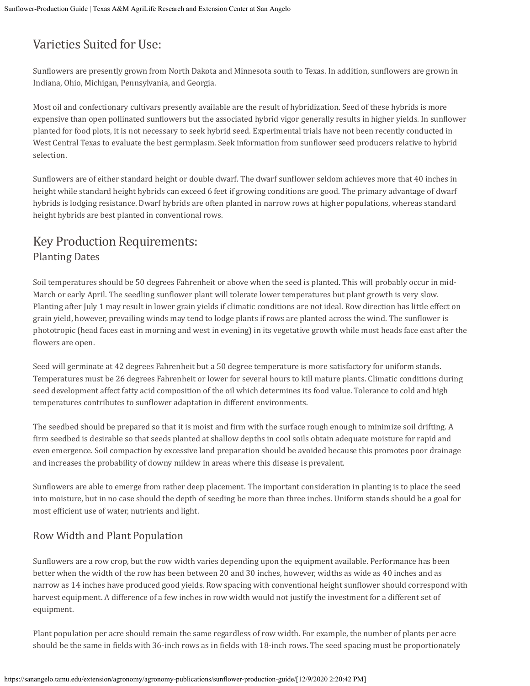# Varieties Suited for Use:

Sunflowers are presently grown from North Dakota and Minnesota south to Texas. In addition, sunflowers are grown in Indiana, Ohio, Michigan, Pennsylvania, and Georgia.

Most oil and confectionary cultivars presently available are the result of hybridization. Seed of these hybrids is more expensive than open pollinated sunflowers but the associated hybrid vigor generally results in higher yields. In sunflower planted for food plots, it is not necessary to seek hybrid seed. Experimental trials have not been recently conducted in West Central Texas to evaluate the best germplasm. Seek information from sunflower seed producers relative to hybrid selection.

Sunflowers are of either standard height or double dwarf. The dwarf sunflower seldom achieves more that 40 inches in height while standard height hybrids can exceed 6 feet if growing conditions are good. The primary advantage of dwarf hybrids is lodging resistance. Dwarf hybrids are often planted in narrow rows at higher populations, whereas standard height hybrids are best planted in conventional rows.

# Key Production Requirements: Planting Dates

Soil temperatures should be 50 degrees Fahrenheit or above when the seed is planted. This will probably occur in mid-March or early April. The seedling sunflower plant will tolerate lower temperatures but plant growth is very slow. Planting after July 1 may result in lower grain yields if climatic conditions are not ideal. Row direction has little effect on grain yield, however, prevailing winds may tend to lodge plants if rows are planted across the wind. The sunflower is phototropic (head faces east in morning and west in evening) in its vegetative growth while most heads face east after the flowers are open.

Seed will germinate at 42 degrees Fahrenheit but a 50 degree temperature is more satisfactory for uniform stands. Temperatures must be 26 degrees Fahrenheit or lower for several hours to kill mature plants. Climatic conditions during seed development affect fatty acid composition of the oil which determines its food value. Tolerance to cold and high temperatures contributes to sunflower adaptation in different environments.

The seedbed should be prepared so that it is moist and firm with the surface rough enough to minimize soil drifting. A firm seedbed is desirable so that seeds planted at shallow depths in cool soils obtain adequate moisture for rapid and even emergence. Soil compaction by excessive land preparation should be avoided because this promotes poor drainage and increases the probability of downy mildew in areas where this disease is prevalent.

Sunflowers are able to emerge from rather deep placement. The important consideration in planting is to place the seed into moisture, but in no case should the depth of seeding be more than three inches. Uniform stands should be a goal for most efficient use of water, nutrients and light.

# Row Width and Plant Population

Sunflowers are a row crop, but the row width varies depending upon the equipment available. Performance has been better when the width of the row has been between 20 and 30 inches, however, widths as wide as 40 inches and as narrow as 14 inches have produced good yields. Row spacing with conventional height sunflower should correspond with harvest equipment. A difference of a few inches in row width would not justify the investment for a different set of equipment.

Plant population per acre should remain the same regardless of row width. For example, the number of plants per acre should be the same in fields with 36-inch rows as in fields with 18-inch rows. The seed spacing must be proportionately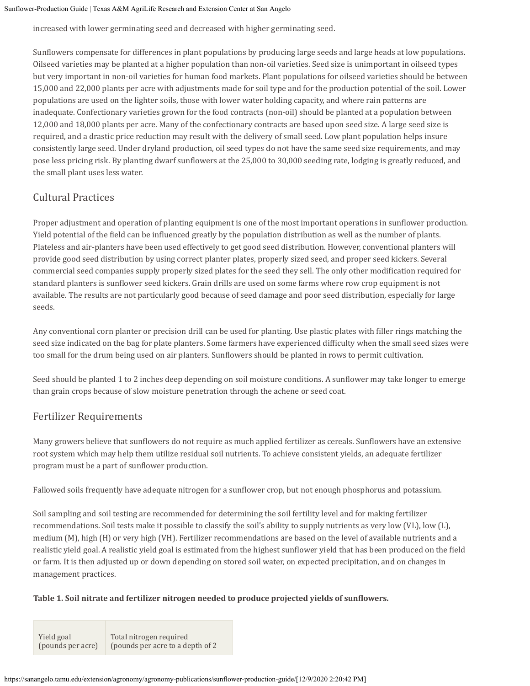increased with lower germinating seed and decreased with higher germinating seed.

Sunflowers compensate for differences in plant populations by producing large seeds and large heads at low populations. Oilseed varieties may be planted at a higher population than non-oil varieties. Seed size is unimportant in oilseed types but very important in non-oil varieties for human food markets. Plant populations for oilseed varieties should be between 15,000 and 22,000 plants per acre with adjustments made for soil type and for the production potential of the soil. Lower populations are used on the lighter soils, those with lower water holding capacity, and where rain patterns are inadequate. Confectionary varieties grown for the food contracts (non-oil) should be planted at a population between 12,000 and 18,000 plants per acre. Many of the confectionary contracts are based upon seed size. A large seed size is required, and a drastic price reduction may result with the delivery of small seed. Low plant population helps insure consistently large seed. Under dryland production, oil seed types do not have the same seed size requirements, and may pose less pricing risk. By planting dwarf sunflowers at the 25,000 to 30,000 seeding rate, lodging is greatly reduced, and the small plant uses less water.

## Cultural Practices

Proper adjustment and operation of planting equipment is one of the most important operations in sunflower production. Yield potential of the field can be influenced greatly by the population distribution as well as the number of plants. Plateless and air-planters have been used effectively to get good seed distribution. However, conventional planters will provide good seed distribution by using correct planter plates, properly sized seed, and proper seed kickers. Several commercial seed companies supply properly sized plates for the seed they sell. The only other modification required for standard planters is sunflower seed kickers. Grain drills are used on some farms where row crop equipment is not available. The results are not particularly good because of seed damage and poor seed distribution, especially for large seeds.

Any conventional corn planter or precision drill can be used for planting. Use plastic plates with filler rings matching the seed size indicated on the bag for plate planters. Some farmers have experienced difficulty when the small seed sizes were too small for the drum being used on air planters. Sunflowers should be planted in rows to permit cultivation.

Seed should be planted 1 to 2 inches deep depending on soil moisture conditions. A sunflower may take longer to emerge than grain crops because of slow moisture penetration through the achene or seed coat.

### Fertilizer Requirements

Many growers believe that sunflowers do not require as much applied fertilizer as cereals. Sunflowers have an extensive root system which may help them utilize residual soil nutrients. To achieve consistent yields, an adequate fertilizer program must be a part of sunflower production.

Fallowed soils frequently have adequate nitrogen for a sunflower crop, but not enough phosphorus and potassium.

Soil sampling and soil testing are recommended for determining the soil fertility level and for making fertilizer recommendations. Soil tests make it possible to classify the soil's ability to supply nutrients as very low (VL), low (L), medium (M), high (H) or very high (VH). Fertilizer recommendations are based on the level of available nutrients and a realistic yield goal. A realistic yield goal is estimated from the highest sunflower yield that has been produced on the field or farm. It is then adjusted up or down depending on stored soil water, on expected precipitation, and on changes in management practices.

### **Table 1. Soil nitrate and fertilizer nitrogen needed to produce projected yields of sunflowers.**

Yield goal (pounds per acre) Total nitrogen required (pounds per acre to a depth of 2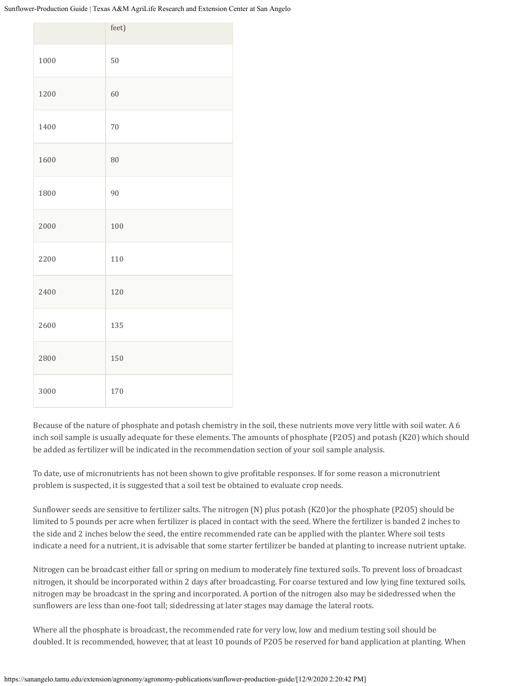|      | feet) |
|------|-------|
| 1000 | 50    |
| 1200 | 60    |
| 1400 | 70    |
| 1600 | 80    |
| 1800 | 90    |
| 2000 | 100   |
| 2200 | 110   |
| 2400 | 120   |
| 2600 | 135   |
| 2800 | 150   |
| 3000 | 170   |

Because of the nature of phosphate and potash chemistry in the soil, these nutrients move very little with soil water. A 6 inch soil sample is usually adequate for these elements. The amounts of phosphate (P2O5) and potash (K20) which should be added as fertilizer will be indicated in the recommendation section of your soil sample analysis.

To date, use of micronutrients has not been shown to give profitable responses. If for some reason a micronutrient problem is suspected, it is suggested that a soil test be obtained to evaluate crop needs.

Sunflower seeds are sensitive to fertilizer salts. The nitrogen (N) plus potash (K20)or the phosphate (P2O5) should be limited to 5 pounds per acre when fertilizer is placed in contact with the seed. Where the fertilizer is banded 2 inches to the side and 2 inches below the seed, the entire recommended rate can be applied with the planter. Where soil tests indicate a need for a nutrient, it is advisable that some starter fertilizer be banded at planting to increase nutrient uptake.

Nitrogen can be broadcast either fall or spring on medium to moderately fine textured soils. To prevent loss of broadcast nitrogen, it should be incorporated within 2 days after broadcasting. For coarse textured and low lying fine textured soils, nitrogen may be broadcast in the spring and incorporated. A portion of the nitrogen also may be sidedressed when the sunflowers are less than one-foot tall; sidedressing at later stages may damage the lateral roots.

Where all the phosphate is broadcast, the recommended rate for very low, low and medium testing soil should be doubled. It is recommended, however, that at least 10 pounds of P2O5 be reserved for band application at planting. When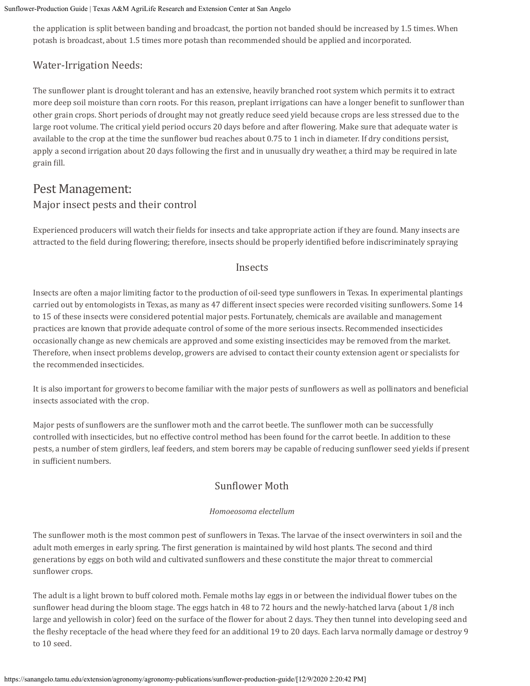the application is split between banding and broadcast, the portion not banded should be increased by 1.5 times. When potash is broadcast, about 1.5 times more potash than recommended should be applied and incorporated.

### Water-Irrigation Needs:

The sunflower plant is drought tolerant and has an extensive, heavily branched root system which permits it to extract more deep soil moisture than corn roots. For this reason, preplant irrigations can have a longer benefit to sunflower than other grain crops. Short periods of drought may not greatly reduce seed yield because crops are less stressed due to the large root volume. The critical yield period occurs 20 days before and after flowering. Make sure that adequate water is available to the crop at the time the sunflower bud reaches about 0.75 to 1 inch in diameter. If dry conditions persist, apply a second irrigation about 20 days following the first and in unusually dry weather, a third may be required in late grain fill.

# Pest Management: Major insect pests and their control

Experienced producers will watch their fields for insects and take appropriate action if they are found. Many insects are attracted to the field during flowering; therefore, insects should be properly identified before indiscriminately spraying

### Insects

Insects are often a major limiting factor to the production of oil-seed type sunflowers in Texas. In experimental plantings carried out by entomologists in Texas, as many as 47 different insect species were recorded visiting sunflowers. Some 14 to 15 of these insects were considered potential major pests. Fortunately, chemicals are available and management practices are known that provide adequate control of some of the more serious insects. Recommended insecticides occasionally change as new chemicals are approved and some existing insecticides may be removed from the market. Therefore, when insect problems develop, growers are advised to contact their county extension agent or specialists for the recommended insecticides.

It is also important for growers to become familiar with the major pests of sunflowers as well as pollinators and beneficial insects associated with the crop.

Major pests of sunflowers are the sunflower moth and the carrot beetle. The sunflower moth can be successfully controlled with insecticides, but no effective control method has been found for the carrot beetle. In addition to these pests, a number of stem girdlers, leaf feeders, and stem borers may be capable of reducing sunflower seed yields if present in sufficient numbers.

### Sunflower Moth

### *Homoeosoma electellum*

The sunflower moth is the most common pest of sunflowers in Texas. The larvae of the insect overwinters in soil and the adult moth emerges in early spring. The first generation is maintained by wild host plants. The second and third generations by eggs on both wild and cultivated sunflowers and these constitute the major threat to commercial sunflower crops.

The adult is a light brown to buff colored moth. Female moths lay eggs in or between the individual flower tubes on the sunflower head during the bloom stage. The eggs hatch in 48 to 72 hours and the newly-hatched larva (about 1/8 inch large and yellowish in color) feed on the surface of the flower for about 2 days. They then tunnel into developing seed and the fleshy receptacle of the head where they feed for an additional 19 to 20 days. Each larva normally damage or destroy 9 to 10 seed.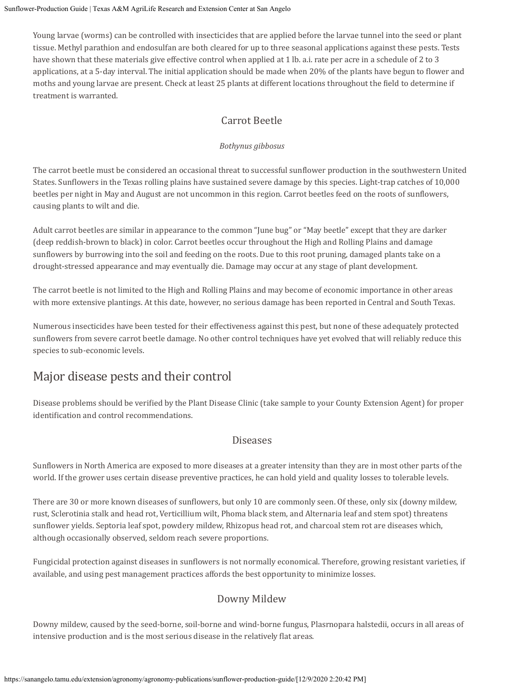Young larvae (worms) can be controlled with insecticides that are applied before the larvae tunnel into the seed or plant tissue. Methyl parathion and endosulfan are both cleared for up to three seasonal applications against these pests. Tests have shown that these materials give effective control when applied at 1 lb. a.i. rate per acre in a schedule of 2 to 3 applications, at a 5-day interval. The initial application should be made when 20% of the plants have begun to flower and moths and young larvae are present. Check at least 25 plants at different locations throughout the field to determine if treatment is warranted.

# Carrot Beetle

### *Bothynus gibbosus*

The carrot beetle must be considered an occasional threat to successful sunflower production in the southwestern United States. Sunflowers in the Texas rolling plains have sustained severe damage by this species. Light-trap catches of 10,000 beetles per night in May and August are not uncommon in this region. Carrot beetles feed on the roots of sunflowers, causing plants to wilt and die.

Adult carrot beetles are similar in appearance to the common "June bug" or "May beetle" except that they are darker (deep reddish-brown to black) in color. Carrot beetles occur throughout the High and Rolling Plains and damage sunflowers by burrowing into the soil and feeding on the roots. Due to this root pruning, damaged plants take on a drought-stressed appearance and may eventually die. Damage may occur at any stage of plant development.

The carrot beetle is not limited to the High and Rolling Plains and may become of economic importance in other areas with more extensive plantings. At this date, however, no serious damage has been reported in Central and South Texas.

Numerous insecticides have been tested for their effectiveness against this pest, but none of these adequately protected sunflowers from severe carrot beetle damage. No other control techniques have yet evolved that will reliably reduce this species to sub-economic levels.

# Major disease pests and their control

Disease problems should be verified by the Plant Disease Clinic (take sample to your County Extension Agent) for proper identification and control recommendations.

### Diseases

Sunflowers in North America are exposed to more diseases at a greater intensity than they are in most other parts of the world. If the grower uses certain disease preventive practices, he can hold yield and quality losses to tolerable levels.

There are 30 or more known diseases of sunflowers, but only 10 are commonly seen. Of these, only six (downy mildew, rust, Sclerotinia stalk and head rot, Verticillium wilt, Phoma black stem, and Alternaria leaf and stem spot) threatens sunflower yields. Septoria leaf spot, powdery mildew, Rhizopus head rot, and charcoal stem rot are diseases which, although occasionally observed, seldom reach severe proportions.

Fungicidal protection against diseases in sunflowers is not normally economical. Therefore, growing resistant varieties, if available, and using pest management practices affords the best opportunity to minimize losses.

## Downy Mildew

Downy mildew, caused by the seed-borne, soil-borne and wind-borne fungus, Plasrnopara halstedii, occurs in all areas of intensive production and is the most serious disease in the relatively flat areas.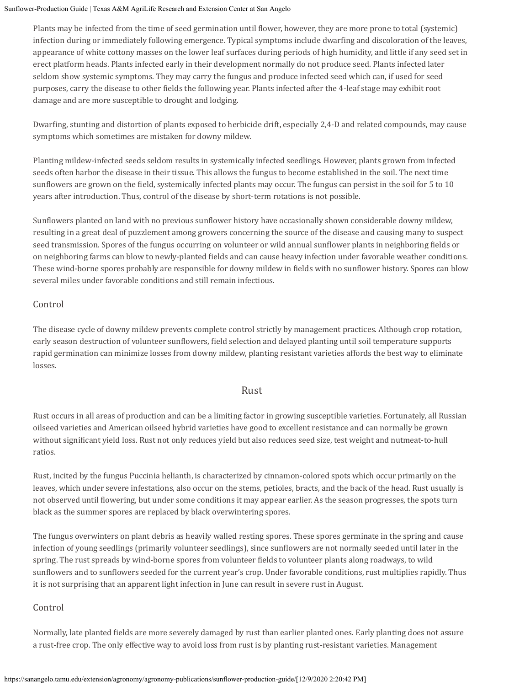Plants may be infected from the time of seed germination until flower, however, they are more prone to total (systemic) infection during or immediately following emergence. Typical symptoms include dwarfing and discoloration of the leaves, appearance of white cottony masses on the lower leaf surfaces during periods of high humidity, and little if any seed set in erect platform heads. Plants infected early in their development normally do not produce seed. Plants infected later seldom show systemic symptoms. They may carry the fungus and produce infected seed which can, if used for seed purposes, carry the disease to other fields the following year. Plants infected after the 4-leaf stage may exhibit root damage and are more susceptible to drought and lodging.

Dwarfing, stunting and distortion of plants exposed to herbicide drift, especially 2,4-D and related compounds, may cause symptoms which sometimes are mistaken for downy mildew.

Planting mildew-infected seeds seldom results in systemically infected seedlings. However, plants grown from infected seeds often harbor the disease in their tissue. This allows the fungus to become established in the soil. The next time sunflowers are grown on the field, systemically infected plants may occur. The fungus can persist in the soil for 5 to 10 years after introduction. Thus, control of the disease by short-term rotations is not possible.

Sunflowers planted on land with no previous sunflower history have occasionally shown considerable downy mildew, resulting in a great deal of puzzlement among growers concerning the source of the disease and causing many to suspect seed transmission. Spores of the fungus occurring on volunteer or wild annual sunflower plants in neighboring fields or on neighboring farms can blow to newly-planted fields and can cause heavy infection under favorable weather conditions. These wind-borne spores probably are responsible for downy mildew in fields with no sunflower history. Spores can blow several miles under favorable conditions and still remain infectious.

### Control

The disease cycle of downy mildew prevents complete control strictly by management practices. Although crop rotation, early season destruction of volunteer sunflowers, field selection and delayed planting until soil temperature supports rapid germination can minimize losses from downy mildew, planting resistant varieties affords the best way to eliminate losses.

### Rust

Rust occurs in all areas of production and can be a limiting factor in growing susceptible varieties. Fortunately, all Russian oilseed varieties and American oilseed hybrid varieties have good to excellent resistance and can normally be grown without significant yield loss. Rust not only reduces yield but also reduces seed size, test weight and nutmeat-to-hull ratios.

Rust, incited by the fungus Puccinia helianth, is characterized by cinnamon-colored spots which occur primarily on the leaves, which under severe infestations, also occur on the stems, petioles, bracts, and the back of the head. Rust usually is not observed until flowering, but under some conditions it may appear earlier. As the season progresses, the spots turn black as the summer spores are replaced by black overwintering spores.

The fungus overwinters on plant debris as heavily walled resting spores. These spores germinate in the spring and cause infection of young seedlings (primarily volunteer seedlings), since sunflowers are not normally seeded until later in the spring. The rust spreads by wind-borne spores from volunteer fields to volunteer plants along roadways, to wild sunflowers and to sunflowers seeded for the current year's crop. Under favorable conditions, rust multiplies rapidly. Thus it is not surprising that an apparent light infection in June can result in severe rust in August.

### Control

Normally, late planted fields are more severely damaged by rust than earlier planted ones. Early planting does not assure a rust-free crop. The only effective way to avoid loss from rust is by planting rust-resistant varieties. Management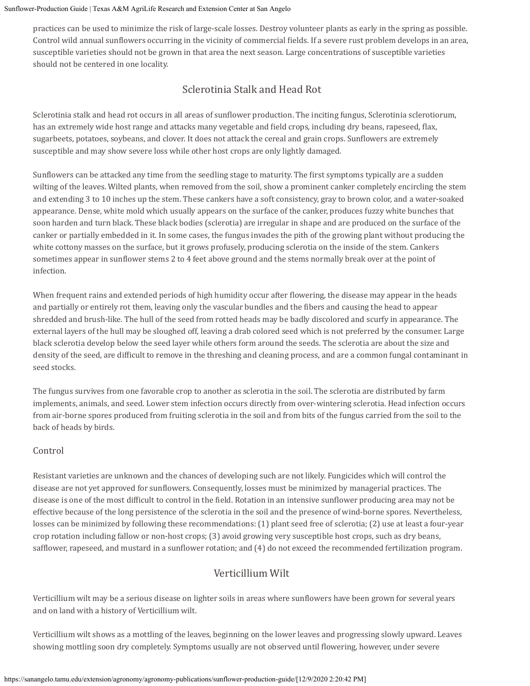practices can be used to minimize the risk of large-scale losses. Destroy volunteer plants as early in the spring as possible. Control wild annual sunflowers occurring in the vicinity of commercial fields. If a severe rust problem develops in an area, susceptible varieties should not be grown in that area the next season. Large concentrations of susceptible varieties should not be centered in one locality.

### Sclerotinia Stalk and Head Rot

Sclerotinia stalk and head rot occurs in all areas of sunflower production. The inciting fungus, Sclerotinia sclerotiorum, has an extremely wide host range and attacks many vegetable and field crops, including dry beans, rapeseed, flax, sugarbeets, potatoes, soybeans, and clover. It does not attack the cereal and grain crops. Sunflowers are extremely susceptible and may show severe loss while other host crops are only lightly damaged.

Sunflowers can be attacked any time from the seedling stage to maturity. The first symptoms typically are a sudden wilting of the leaves. Wilted plants, when removed from the soil, show a prominent canker completely encircling the stem and extending 3 to 10 inches up the stem. These cankers have a soft consistency, gray to brown color, and a water-soaked appearance. Dense, white mold which usually appears on the surface of the canker, produces fuzzy white bunches that soon harden and turn black. These black bodies (sclerotia) are irregular in shape and are produced on the surface of the canker or partially embedded in it. In some cases, the fungus invades the pith of the growing plant without producing the white cottony masses on the surface, but it grows profusely, producing sclerotia on the inside of the stem. Cankers sometimes appear in sunflower stems 2 to 4 feet above ground and the stems normally break over at the point of infection.

When frequent rains and extended periods of high humidity occur after flowering, the disease may appear in the heads and partially or entirely rot them, leaving only the vascular bundles and the fibers and causing the head to appear shredded and brush-like. The hull of the seed from rotted heads may be badly discolored and scurfy in appearance. The external layers of the hull may be sloughed off, leaving a drab colored seed which is not preferred by the consumer. Large black sclerotia develop below the seed layer while others form around the seeds. The sclerotia are about the size and density of the seed, are difficult to remove in the threshing and cleaning process, and are a common fungal contaminant in seed stocks.

The fungus survives from one favorable crop to another as sclerotia in the soil. The sclerotia are distributed by farm implements, animals, and seed. Lower stem infection occurs directly from over-wintering sclerotia. Head infection occurs from air-borne spores produced from fruiting sclerotia in the soil and from bits of the fungus carried from the soil to the back of heads by birds.

### Control

Resistant varieties are unknown and the chances of developing such are not likely. Fungicides which will control the disease are not yet approved for sunflowers. Consequently, losses must be minimized by managerial practices. The disease is one of the most difficult to control in the field. Rotation in an intensive sunflower producing area may not be effective because of the long persistence of the sclerotia in the soil and the presence of wind-borne spores. Nevertheless, losses can be minimized by following these recommendations: (1) plant seed free of sclerotia; (2) use at least a four-year crop rotation including fallow or non-host crops; (3) avoid growing very susceptible host crops, such as dry beans, safflower, rapeseed, and mustard in a sunflower rotation; and (4) do not exceed the recommended fertilization program.

### Verticillium Wilt

Verticillium wilt may be a serious disease on lighter soils in areas where sunflowers have been grown for several years and on land with a history of Verticillium wilt.

Verticillium wilt shows as a mottling of the leaves, beginning on the lower leaves and progressing slowly upward. Leaves showing mottling soon dry completely. Symptoms usually are not observed until flowering, however, under severe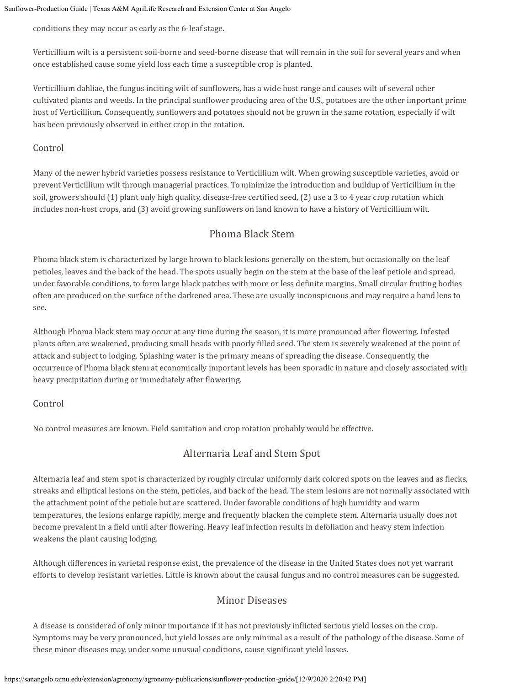conditions they may occur as early as the 6-leaf stage.

Verticillium wilt is a persistent soil-borne and seed-borne disease that will remain in the soil for several years and when once established cause some yield loss each time a susceptible crop is planted.

Verticillium dahliae, the fungus inciting wilt of sunflowers, has a wide host range and causes wilt of several other cultivated plants and weeds. In the principal sunflower producing area of the U.S., potatoes are the other important prime host of Verticillium. Consequently, sunflowers and potatoes should not be grown in the same rotation, especially if wilt has been previously observed in either crop in the rotation.

### Control

Many of the newer hybrid varieties possess resistance to Verticillium wilt. When growing susceptible varieties, avoid or prevent Verticillium wilt through managerial practices. To minimize the introduction and buildup of Verticillium in the soil, growers should (1) plant only high quality, disease-free certified seed, (2) use a 3 to 4 year crop rotation which includes non-host crops, and (3) avoid growing sunflowers on land known to have a history of Verticillium wilt.

## Phoma Black Stem

Phoma black stem is characterized by large brown to black lesions generally on the stem, but occasionally on the leaf petioles, leaves and the back of the head. The spots usually begin on the stem at the base of the leaf petiole and spread, under favorable conditions, to form large black patches with more or less definite margins. Small circular fruiting bodies often are produced on the surface of the darkened area. These are usually inconspicuous and may require a hand lens to see.

Although Phoma black stem may occur at any time during the season, it is more pronounced after flowering. Infested plants often are weakened, producing small heads with poorly filled seed. The stem is severely weakened at the point of attack and subject to lodging. Splashing water is the primary means of spreading the disease. Consequently, the occurrence of Phoma black stem at economically important levels has been sporadic in nature and closely associated with heavy precipitation during or immediately after flowering.

### Control

No control measures are known. Field sanitation and crop rotation probably would be effective.

# Alternaria Leaf and Stem Spot

Alternaria leaf and stem spot is characterized by roughly circular uniformly dark colored spots on the leaves and as flecks, streaks and elliptical lesions on the stem, petioles, and back of the head. The stem lesions are not normally associated with the attachment point of the petiole but are scattered. Under favorable conditions of high humidity and warm temperatures, the lesions enlarge rapidly, merge and frequently blacken the complete stem. Alternaria usually does not become prevalent in a field until after flowering. Heavy leaf infection results in defoliation and heavy stem infection weakens the plant causing lodging.

Although differences in varietal response exist, the prevalence of the disease in the United States does not yet warrant efforts to develop resistant varieties. Little is known about the causal fungus and no control measures can be suggested.

### Minor Diseases

A disease is considered of only minor importance if it has not previously inflicted serious yield losses on the crop. Symptoms may be very pronounced, but yield losses are only minimal as a result of the pathology of the disease. Some of these minor diseases may, under some unusual conditions, cause significant yield losses.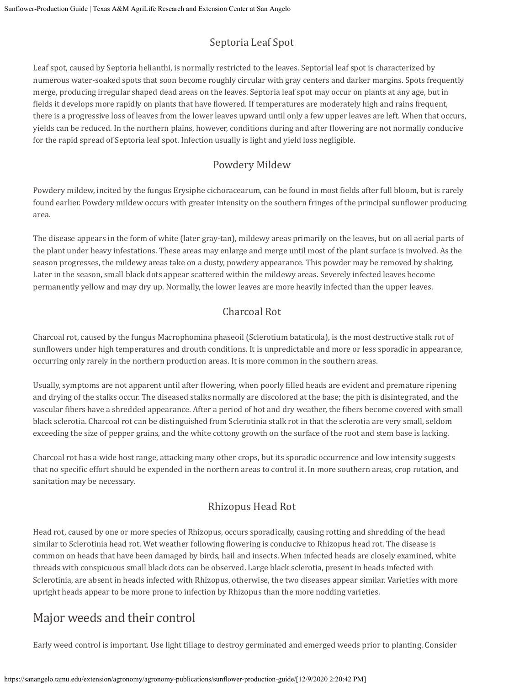# Septoria Leaf Spot

Leaf spot, caused by Septoria helianthi, is normally restricted to the leaves. Septorial leaf spot is characterized by numerous water-soaked spots that soon become roughly circular with gray centers and darker margins. Spots frequently merge, producing irregular shaped dead areas on the leaves. Septoria leaf spot may occur on plants at any age, but in fields it develops more rapidly on plants that have flowered. If temperatures are moderately high and rains frequent, there is a progressive loss of leaves from the lower leaves upward until only a few upper leaves are left. When that occurs, yields can be reduced. In the northern plains, however, conditions during and after flowering are not normally conducive for the rapid spread of Septoria leaf spot. Infection usually is light and yield loss negligible.

### Powdery Mildew

Powdery mildew, incited by the fungus Erysiphe cichoracearum, can be found in most fields after full bloom, but is rarely found earlier. Powdery mildew occurs with greater intensity on the southern fringes of the principal sunflower producing area.

The disease appears in the form of white (later gray-tan), mildewy areas primarily on the leaves, but on all aerial parts of the plant under heavy infestations. These areas may enlarge and merge until most of the plant surface is involved. As the season progresses, the mildewy areas take on a dusty, powdery appearance. This powder may be removed by shaking. Later in the season, small black dots appear scattered within the mildewy areas. Severely infected leaves become permanently yellow and may dry up. Normally, the lower leaves are more heavily infected than the upper leaves.

## Charcoal Rot

Charcoal rot, caused by the fungus Macrophomina phaseoil (Sclerotium bataticola), is the most destructive stalk rot of sunflowers under high temperatures and drouth conditions. It is unpredictable and more or less sporadic in appearance, occurring only rarely in the northern production areas. It is more common in the southern areas.

Usually, symptoms are not apparent until after flowering, when poorly filled heads are evident and premature ripening and drying of the stalks occur. The diseased stalks normally are discolored at the base; the pith is disintegrated, and the vascular fibers have a shredded appearance. After a period of hot and dry weather, the fibers become covered with small black sclerotia. Charcoal rot can be distinguished from Sclerotinia stalk rot in that the sclerotia are very small, seldom exceeding the size of pepper grains, and the white cottony growth on the surface of the root and stem base is lacking.

Charcoal rot has a wide host range, attacking many other crops, but its sporadic occurrence and low intensity suggests that no specific effort should be expended in the northern areas to control it. In more southern areas, crop rotation, and sanitation may be necessary.

## Rhizopus Head Rot

Head rot, caused by one or more species of Rhizopus, occurs sporadically, causing rotting and shredding of the head similar to Sclerotinia head rot. Wet weather following flowering is conducive to Rhizopus head rot. The disease is common on heads that have been damaged by birds, hail and insects. When infected heads are closely examined, white threads with conspicuous small black dots can be observed. Large black sclerotia, present in heads infected with Sclerotinia, are absent in heads infected with Rhizopus, otherwise, the two diseases appear similar. Varieties with more upright heads appear to be more prone to infection by Rhizopus than the more nodding varieties.

# Major weeds and their control

Early weed control is important. Use light tillage to destroy germinated and emerged weeds prior to planting. Consider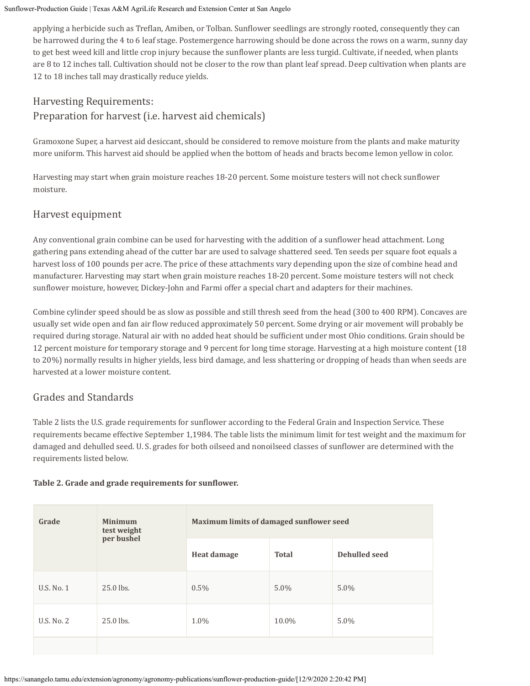applying a herbicide such as Treflan, Amiben, or Tolban. Sunflower seedlings are strongly rooted, consequently they can be harrowed during the 4 to 6 leaf stage. Postemergence harrowing should be done across the rows on a warm, sunny day to get best weed kill and little crop injury because the sunflower plants are less turgid. Cultivate, if needed, when plants are 8 to 12 inches tall. Cultivation should not be closer to the row than plant leaf spread. Deep cultivation when plants are 12 to 18 inches tall may drastically reduce yields.

# Harvesting Requirements: Preparation for harvest (i.e. harvest aid chemicals)

Gramoxone Super, a harvest aid desiccant, should be considered to remove moisture from the plants and make maturity more uniform. This harvest aid should be applied when the bottom of heads and bracts become lemon yellow in color.

Harvesting may start when grain moisture reaches 18-20 percent. Some moisture testers will not check sunflower moisture.

### Harvest equipment

Any conventional grain combine can be used for harvesting with the addition of a sunflower head attachment. Long gathering pans extending ahead of the cutter bar are used to salvage shattered seed. Ten seeds per square foot equals a harvest loss of 100 pounds per acre. The price of these attachments vary depending upon the size of combine head and manufacturer. Harvesting may start when grain moisture reaches 18-20 percent. Some moisture testers will not check sunflower moisture, however, Dickey-John and Farmi offer a special chart and adapters for their machines.

Combine cylinder speed should be as slow as possible and still thresh seed from the head (300 to 400 RPM). Concaves are usually set wide open and fan air flow reduced approximately 50 percent. Some drying or air movement will probably be required during storage. Natural air with no added heat should be sufficient under most Ohio conditions. Grain should be 12 percent moisture for temporary storage and 9 percent for long time storage. Harvesting at a high moisture content (18 to 20%) normally results in higher yields, less bird damage, and less shattering or dropping of heads than when seeds are harvested at a lower moisture content.

### Grades and Standards

Table 2 lists the U.S. grade requirements for sunflower according to the Federal Grain and Inspection Service. These requirements became effective September 1,1984. The table lists the minimum limit for test weight and the maximum for damaged and dehulled seed. U. S. grades for both oilseed and nonoilseed classes of sunflower are determined with the requirements listed below.

### **Table 2. Grade and grade requirements for sunflower.**

| Grade      | <b>Minimum</b><br>test weight<br>per bushel | Maximum limits of damaged sunflower seed |              |                      |
|------------|---------------------------------------------|------------------------------------------|--------------|----------------------|
|            |                                             | Heat damage                              | <b>Total</b> | <b>Dehulled seed</b> |
| U.S. No. 1 | 25.0 lbs.                                   | 0.5%                                     | $5.0\%$      | $5.0\%$              |
| U.S. No. 2 | 25.0 lbs.                                   | 1.0%                                     | 10.0%        | $5.0\%$              |
|            |                                             |                                          |              |                      |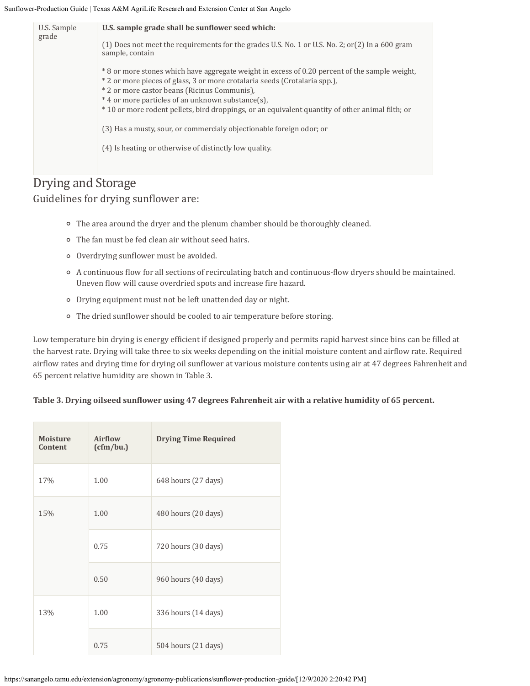| U.S. Sample<br>grade | U.S. sample grade shall be sunflower seed which:<br>$(1)$ Does not meet the requirements for the grades U.S. No. 1 or U.S. No. 2; or $(2)$ In a 600 gram<br>sample, contain<br>* 8 or more stones which have aggregate weight in excess of 0.20 percent of the sample weight,<br>* 2 or more pieces of glass, 3 or more crotalaria seeds (Crotalaria spp.).<br>* 2 or more castor beans (Ricinus Communis),<br>*4 or more particles of an unknown substance(s).<br>*10 or more rodent pellets, bird droppings, or an equivalent quantity of other animal filth; or |
|----------------------|--------------------------------------------------------------------------------------------------------------------------------------------------------------------------------------------------------------------------------------------------------------------------------------------------------------------------------------------------------------------------------------------------------------------------------------------------------------------------------------------------------------------------------------------------------------------|
|                      | (3) Has a musty, sour, or commercialy objectionable foreign odor; or<br>(4) Is heating or otherwise of distinctly low quality.                                                                                                                                                                                                                                                                                                                                                                                                                                     |
| Dwraacand Ctongro    |                                                                                                                                                                                                                                                                                                                                                                                                                                                                                                                                                                    |

## Drying and Storage Guidelines for drying sunflower are:

- The area around the dryer and the plenum chamber should be thoroughly cleaned.
- The fan must be fed clean air without seed hairs.
- Overdrying sunflower must be avoided.
- A continuous flow for all sections of recirculating batch and continuous-flow dryers should be maintained. Uneven flow will cause overdried spots and increase fire hazard.
- Drying equipment must not be left unattended day or night.
- The dried sunflower should be cooled to air temperature before storing.

Low temperature bin drying is energy efficient if designed properly and permits rapid harvest since bins can be filled at the harvest rate. Drying will take three to six weeks depending on the initial moisture content and airflow rate. Required airflow rates and drying time for drying oil sunflower at various moisture contents using air at 47 degrees Fahrenheit and 65 percent relative humidity are shown in Table 3.

#### **Table 3. Drying oilseed sunflower using 47 degrees Fahrenheit air with a relative humidity of 65 percent.**

|  | <b>Moisture</b><br><b>Content</b> | Airflow<br>(cfm/bu.) | <b>Drying Time Required</b> |
|--|-----------------------------------|----------------------|-----------------------------|
|  | 17%                               | 1.00                 | 648 hours (27 days)         |
|  | 15%                               | 1.00                 | 480 hours (20 days)         |
|  |                                   | 0.75                 | 720 hours (30 days)         |
|  |                                   | 0.50                 | 960 hours (40 days)         |
|  | 13%                               | 1.00                 | 336 hours (14 days)         |
|  |                                   | 0.75                 | 504 hours (21 days)         |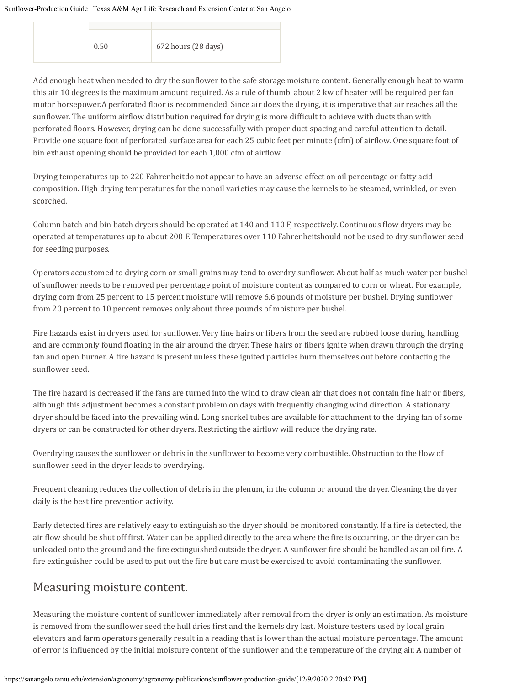| 0.50 | 672 hours (28 days) |
|------|---------------------|
|      |                     |

Add enough heat when needed to dry the sunflower to the safe storage moisture content. Generally enough heat to warm this air 10 degrees is the maximum amount required. As a rule of thumb, about 2 kw of heater will be required per fan motor horsepower.A perforated floor is recommended. Since air does the drying, it is imperative that air reaches all the sunflower. The uniform airflow distribution required for drying is more difficult to achieve with ducts than with perforated floors. However, drying can be done successfully with proper duct spacing and careful attention to detail. Provide one square foot of perforated surface area for each 25 cubic feet per minute (cfm) of airflow. One square foot of bin exhaust opening should be provided for each 1,000 cfm of airflow.

Drying temperatures up to 220 Fahrenheitdo not appear to have an adverse effect on oil percentage or fatty acid composition. High drying temperatures for the nonoil varieties may cause the kernels to be steamed, wrinkled, or even scorched.

Column batch and bin batch dryers should be operated at 140 and 110 F, respectively. Continuous flow dryers may be operated at temperatures up to about 200 F. Temperatures over 110 Fahrenheitshould not be used to dry sunflower seed for seeding purposes.

Operators accustomed to drying corn or small grains may tend to overdry sunflower. About half as much water per bushel of sunflower needs to be removed per percentage point of moisture content as compared to corn or wheat. For example, drying corn from 25 percent to 15 percent moisture will remove 6.6 pounds of moisture per bushel. Drying sunflower from 20 percent to 10 percent removes only about three pounds of moisture per bushel.

Fire hazards exist in dryers used for sunflower. Very fine hairs or fibers from the seed are rubbed loose during handling and are commonly found floating in the air around the dryer. These hairs or fibers ignite when drawn through the drying fan and open burner. A fire hazard is present unless these ignited particles burn themselves out before contacting the sunflower seed.

The fire hazard is decreased if the fans are turned into the wind to draw clean air that does not contain fine hair or fibers, although this adjustment becomes a constant problem on days with frequently changing wind direction. A stationary dryer should be faced into the prevailing wind. Long snorkel tubes are available for attachment to the drying fan of some dryers or can be constructed for other dryers. Restricting the airflow will reduce the drying rate.

Overdrying causes the sunflower or debris in the sunflower to become very combustible. Obstruction to the flow of sunflower seed in the dryer leads to overdrying.

Frequent cleaning reduces the collection of debris in the plenum, in the column or around the dryer. Cleaning the dryer daily is the best fire prevention activity.

Early detected fires are relatively easy to extinguish so the dryer should be monitored constantly. If a fire is detected, the air flow should be shut off first. Water can be applied directly to the area where the fire is occurring, or the dryer can be unloaded onto the ground and the fire extinguished outside the dryer. A sunflower fire should be handled as an oil fire. A fire extinguisher could be used to put out the fire but care must be exercised to avoid contaminating the sunflower.

# Measuring moisture content.

Measuring the moisture content of sunflower immediately after removal from the dryer is only an estimation. As moisture is removed from the sunflower seed the hull dries first and the kernels dry last. Moisture testers used by local grain elevators and farm operators generally result in a reading that is lower than the actual moisture percentage. The amount of error is influenced by the initial moisture content of the sunflower and the temperature of the drying air. A number of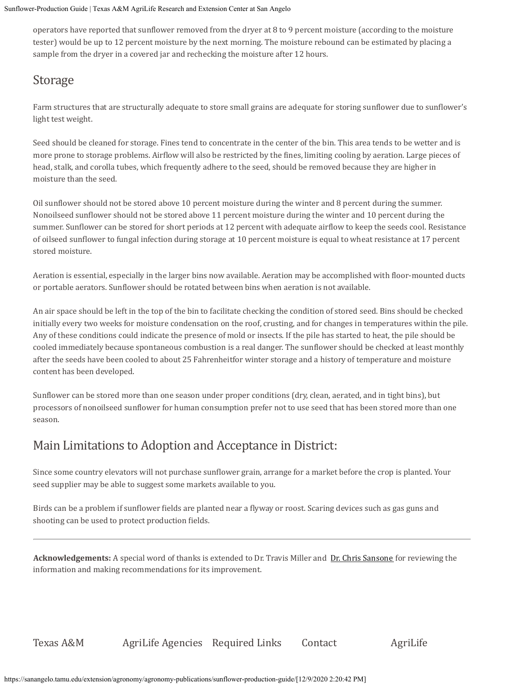operators have reported that sunflower removed from the dryer at 8 to 9 percent moisture (according to the moisture tester) would be up to 12 percent moisture by the next morning. The moisture rebound can be estimated by placing a sample from the dryer in a covered jar and rechecking the moisture after 12 hours.

# Storage

Farm structures that are structurally adequate to store small grains are adequate for storing sunflower due to sunflower's light test weight.

Seed should be cleaned for storage. Fines tend to concentrate in the center of the bin. This area tends to be wetter and is more prone to storage problems. Airflow will also be restricted by the fines, limiting cooling by aeration. Large pieces of head, stalk, and corolla tubes, which frequently adhere to the seed, should be removed because they are higher in moisture than the seed.

Oil sunflower should not be stored above 10 percent moisture during the winter and 8 percent during the summer. Nonoilseed sunflower should not be stored above 11 percent moisture during the winter and 10 percent during the summer. Sunflower can be stored for short periods at 12 percent with adequate airflow to keep the seeds cool. Resistance of oilseed sunflower to fungal infection during storage at 10 percent moisture is equal to wheat resistance at 17 percent stored moisture.

Aeration is essential, especially in the larger bins now available. Aeration may be accomplished with floor-mounted ducts or portable aerators. Sunflower should be rotated between bins when aeration is not available.

An air space should be left in the top of the bin to facilitate checking the condition of stored seed. Bins should be checked initially every two weeks for moisture condensation on the roof, crusting, and for changes in temperatures within the pile. Any of these conditions could indicate the presence of mold or insects. If the pile has started to heat, the pile should be cooled immediately because spontaneous combustion is a real danger. The sunflower should be checked at least monthly after the seeds have been cooled to about 25 Fahrenheitfor winter storage and a history of temperature and moisture content has been developed.

Sunflower can be stored more than one season under proper conditions (dry, clean, aerated, and in tight bins), but processors of nonoilseed sunflower for human consumption prefer not to use seed that has been stored more than one season.

# Main Limitations to Adoption and Acceptance in District:

Since some country elevators will not purchase sunflower grain, arrange for a market before the crop is planted. Your seed supplier may be able to suggest some markets available to you.

Birds can be a problem if sunflower fields are planted near a flyway or roost. Scaring devices such as gas guns and shooting can be used to protect production fields.

**Acknowledgements:** A special word of thanks is extended to Dr. Travis Miller and [Dr. Chris Sansone](https://sanangelo.tamu.edu/people/faculty/sansone/index.php) for reviewing the information and making recommendations for its improvement.

Texas A&M AgriLife Agencies Required Links Contact AgriLife